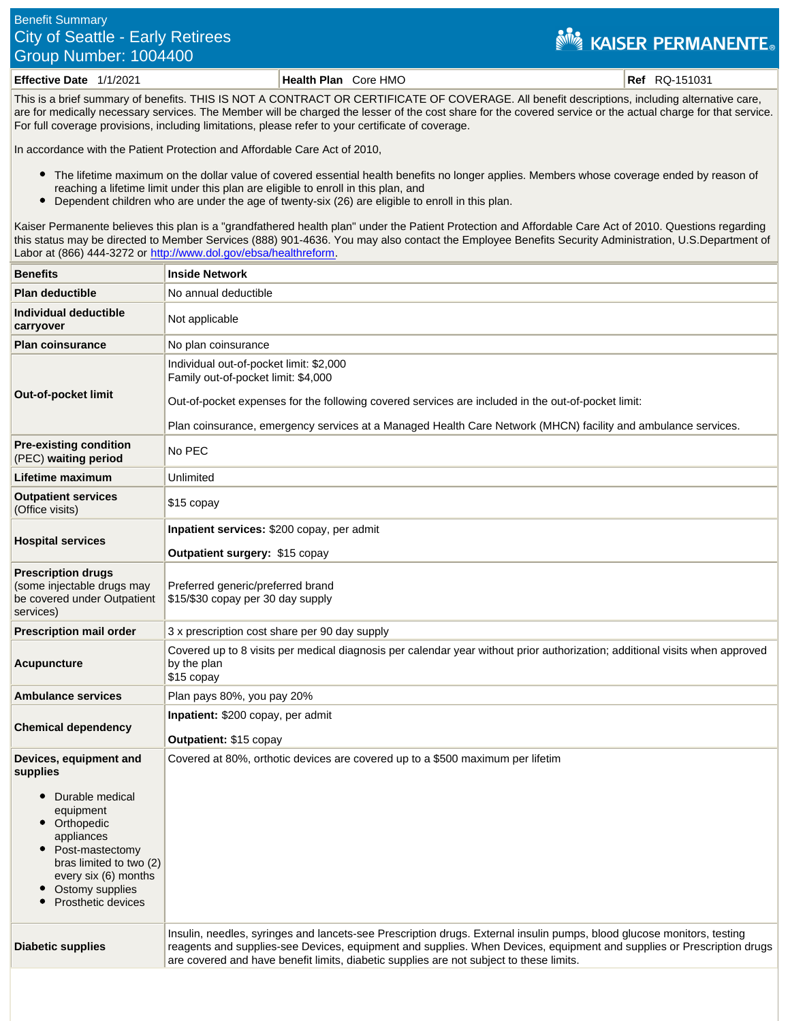## Benefit Summary City of Seattle - Early Retirees Group Number: 1004400

## **NEW KAISER PERMANENTE.**

**Effective Date** 1/1/2021 **Health Plan** Core HMO **Ref** RQ-151031

This is a brief summary of benefits. THIS IS NOT A CONTRACT OR CERTIFICATE OF COVERAGE. All benefit descriptions, including alternative care, are for medically necessary services. The Member will be charged the lesser of the cost share for the covered service or the actual charge for that service. For full coverage provisions, including limitations, please refer to your certificate of coverage.

In accordance with the Patient Protection and Affordable Care Act of 2010,

- The lifetime maximum on the dollar value of covered essential health benefits no longer applies. Members whose coverage ended by reason of reaching a lifetime limit under this plan are eligible to enroll in this plan, and
- $\bullet$ Dependent children who are under the age of twenty-six (26) are eligible to enroll in this plan.

Kaiser Permanente believes this plan is a "grandfathered health plan" under the Patient Protection and Affordable Care Act of 2010. Questions regarding this status may be directed to Member Services (888) 901-4636. You may also contact the Employee Benefits Security Administration, U.S.Department of Labor at (866) 444-3272 or<http://www.dol.gov/ebsa/healthreform>.

| <b>Benefits</b>                                                                                                                                                                                               | <b>Inside Network</b>                                                                                                                                                                                                                                                                                                                      |
|---------------------------------------------------------------------------------------------------------------------------------------------------------------------------------------------------------------|--------------------------------------------------------------------------------------------------------------------------------------------------------------------------------------------------------------------------------------------------------------------------------------------------------------------------------------------|
| <b>Plan deductible</b>                                                                                                                                                                                        | No annual deductible                                                                                                                                                                                                                                                                                                                       |
| Individual deductible<br>carryover                                                                                                                                                                            | Not applicable                                                                                                                                                                                                                                                                                                                             |
| <b>Plan coinsurance</b>                                                                                                                                                                                       | No plan coinsurance                                                                                                                                                                                                                                                                                                                        |
| <b>Out-of-pocket limit</b>                                                                                                                                                                                    | Individual out-of-pocket limit: \$2,000<br>Family out-of-pocket limit: \$4,000<br>Out-of-pocket expenses for the following covered services are included in the out-of-pocket limit:<br>Plan coinsurance, emergency services at a Managed Health Care Network (MHCN) facility and ambulance services.                                      |
| <b>Pre-existing condition</b><br>(PEC) waiting period                                                                                                                                                         | No PEC                                                                                                                                                                                                                                                                                                                                     |
| Lifetime maximum                                                                                                                                                                                              | Unlimited                                                                                                                                                                                                                                                                                                                                  |
| <b>Outpatient services</b><br>(Office visits)                                                                                                                                                                 | \$15 copay                                                                                                                                                                                                                                                                                                                                 |
| <b>Hospital services</b>                                                                                                                                                                                      | Inpatient services: \$200 copay, per admit<br>Outpatient surgery: \$15 copay                                                                                                                                                                                                                                                               |
| <b>Prescription drugs</b><br>(some injectable drugs may<br>be covered under Outpatient<br>services)                                                                                                           | Preferred generic/preferred brand<br>\$15/\$30 copay per 30 day supply                                                                                                                                                                                                                                                                     |
| <b>Prescription mail order</b>                                                                                                                                                                                | 3 x prescription cost share per 90 day supply                                                                                                                                                                                                                                                                                              |
| Acupuncture                                                                                                                                                                                                   | Covered up to 8 visits per medical diagnosis per calendar year without prior authorization; additional visits when approved<br>by the plan<br>\$15 copay                                                                                                                                                                                   |
| <b>Ambulance services</b>                                                                                                                                                                                     | Plan pays 80%, you pay 20%                                                                                                                                                                                                                                                                                                                 |
| <b>Chemical dependency</b>                                                                                                                                                                                    | Inpatient: \$200 copay, per admit<br>Outpatient: \$15 copay                                                                                                                                                                                                                                                                                |
| Devices, equipment and<br>supplies<br>Durable medical<br>equipment<br>Orthopedic<br>appliances<br>Post-mastectomy<br>bras limited to two (2)<br>every six (6) months<br>Ostomy supplies<br>Prosthetic devices | Covered at 80%, orthotic devices are covered up to a \$500 maximum per lifetim                                                                                                                                                                                                                                                             |
| <b>Diabetic supplies</b>                                                                                                                                                                                      | Insulin, needles, syringes and lancets-see Prescription drugs. External insulin pumps, blood glucose monitors, testing<br>reagents and supplies-see Devices, equipment and supplies. When Devices, equipment and supplies or Prescription drugs<br>are covered and have benefit limits, diabetic supplies are not subject to these limits. |
|                                                                                                                                                                                                               |                                                                                                                                                                                                                                                                                                                                            |